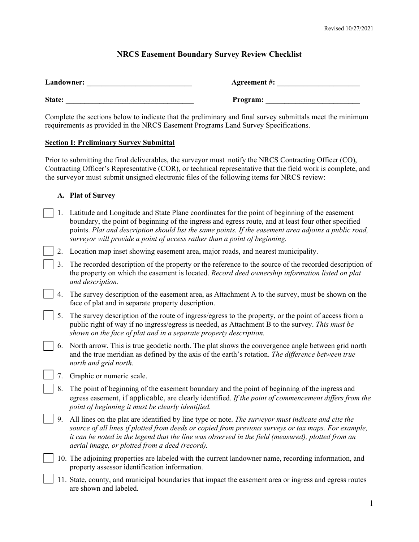# **NRCS Easement Boundary Survey Review Checklist**

| Landowner: | <b>Agreement #:</b> |
|------------|---------------------|
| State:     | Program:            |

Complete the sections below to indicate that the preliminary and final survey submittals meet the minimum requirements as provided in the NRCS Easement Programs Land Survey Specifications.

## **Section I: Preliminary Survey Submittal**

Prior to submitting the final deliverables, the surveyor must notify the NRCS Contracting Officer (CO), Contracting Officer's Representative (COR), or technical representative that the field work is complete, and the surveyor must submit unsigned electronic files of the following items for NRCS review:

# **A. Plat of Survey**

- 1. Latitude and Longitude and State Plane coordinates for the point of beginning of the easement boundary, the point of beginning of the ingress and egress route, and at least four other specified points. *Plat and description should list the same points. If the easement area adjoins a public road, surveyor will provide a point of access rather than a point of beginning.*
- 2. Location map inset showing easement area, major roads, and nearest municipality.

3. The recorded description of the property or the reference to the source of the recorded description of the property on which the easement is located. *Record deed ownership information listed on plat and description.*

- 4. The survey description of the easement area, as Attachment A to the survey, must be shown on the face of plat and in separate property description.
- 5. The survey description of the route of ingress/egress to the property, or the point of access from a public right of way if no ingress/egress is needed, as Attachment B to the survey. *This must be shown on the face of plat and in a separate property description.*
- 6. North arrow. This is true geodetic north. The plat shows the convergence angle between grid north and the true meridian as defined by the axis of the earth's rotation. *The difference between true north and grid north.*
	- 7. Graphic or numeric scale.
	- 8. The point of beginning of the easement boundary and the point of beginning of the ingress and egress easement, if applicable, are clearly identified. *If the point of commencement differs from the point of beginning it must be clearly identified.*
- 9. All lines on the plat are identified by line type or note. *The surveyor must indicate and cite the source of all lines if plotted from deeds or copied from previous surveys or tax maps. For example, it can be noted in the legend that the line was observed in the field (measured), plotted from an aerial image, or plotted from a deed (record).*
- 10. The adjoining properties are labeled with the current landowner name, recording information, and property assessor identification information.
- 11. State, county, and municipal boundaries that impact the easement area or ingress and egress routes are shown and labeled.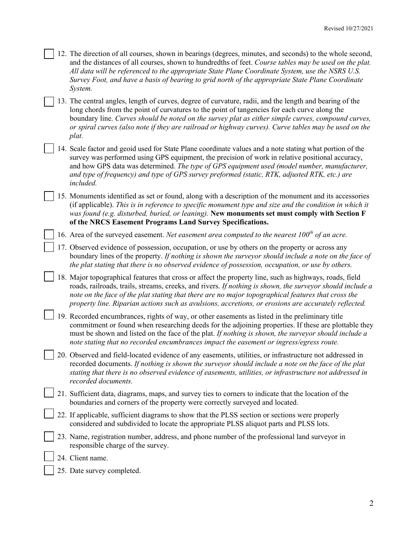- 12. The direction of all courses, shown in bearings (degrees, minutes, and seconds) to the whole second, and the distances of all courses, shown to hundredths of feet. *Course tables may be used on the plat. All data will be referenced to the appropriate State Plane Coordinate System, use the NSRS U.S. Survey Foot, and have a basis of bearing to grid north of the appropriate State Plane Coordinate System.*
- 13. The central angles, length of curves, degree of curvature, radii, and the length and bearing of the long chords from the point of curvatures to the point of tangencies for each curve along the boundary line. *Curves should be noted on the survey plat as either simple curves, compound curves, or spiral curves (also note if they are railroad or highway curves). Curve tables may be used on the plat.*
- 14. Scale factor and geoid used for State Plane coordinate values and a note stating what portion of the survey was performed using GPS equipment, the precision of work in relative positional accuracy, and how GPS data was determined. *The type of GPS equipment used (model number, manufacturer, and type of frequency) and type of GPS survey preformed (static, RTK, adjusted RTK, etc.) are included.*
- 15. Monuments identified as set or found, along with a description of the monument and its accessories (if applicable). *This is in reference to specific monument type and size and the condition in which it was found (e.g. disturbed, buried, or leaning).* **New monuments set must comply with Section F of the NRCS Easement Programs Land Survey Specifications.**
	- 16. Area of the surveyed easement. *Net easement area computed to the nearest 100th of an acre.*
	- 17. Observed evidence of possession, occupation, or use by others on the property or across any boundary lines of the property. *If nothing is shown the surveyor should include a note on the face of the plat stating that there is no observed evidence of possession, occupation, or use by others.*
- 18. Major topographical features that cross or affect the property line, such as highways, roads, field roads, railroads, trails, streams, creeks, and rivers. *If nothing is shown, the surveyor should include a note on the face of the plat stating that there are no major topographical features that cross the property line. Riparian actions such as avulsions, accretions, or erosions are accurately reflected.*
- 19. Recorded encumbrances, rights of way, or other easements as listed in the preliminary title commitment or found when researching deeds for the adjoining properties. If these are plottable they must be shown and listed on the face of the plat. *If nothing is shown, the surveyor should include a note stating that no recorded encumbrances impact the easement or ingress/egress route.*
- 20. Observed and field-located evidence of any easements, utilities, or infrastructure not addressed in recorded documents. *If nothing is shown the surveyor should include a note on the face of the plat stating that there is no observed evidence of easements, utilities, or infrastructure not addressed in recorded documents.*
- 21. Sufficient data, diagrams, maps, and survey ties to corners to indicate that the location of the boundaries and corners of the property were correctly surveyed and located.
- 22. If applicable, sufficient diagrams to show that the PLSS section or sections were properly considered and subdivided to locate the appropriate PLSS aliquot parts and PLSS lots.
- 23. Name, registration number, address, and phone number of the professional land surveyor in responsible charge of the survey.
- 24. Client name.
- 25. Date survey completed.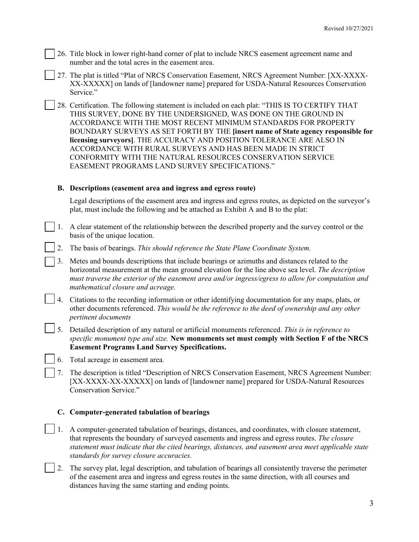- 26. Title block in lower right-hand corner of plat to include NRCS easement agreement name and number and the total acres in the easement area.
- 27. The plat is titled "Plat of NRCS Conservation Easement, NRCS Agreement Number: [XX-XXXX-XX-XXXXX] on lands of [landowner name] prepared for USDA-Natural Resources Conservation Service."
- 28. Certification. The following statement is included on each plat: "THIS IS TO CERTIFY THAT THIS SURVEY, DONE BY THE UNDERSIGNED, WAS DONE ON THE GROUND IN ACCORDANCE WITH THE MOST RECENT MINIMUM STANDARDS FOR PROPERTY BOUNDARY SURVEYS AS SET FORTH BY THE **[insert name of State agency responsible for licensing surveyors]**. THE ACCURACY AND POSITION TOLERANCE ARE ALSO IN ACCORDANCE WITH RURAL SURVEYS AND HAS BEEN MADE IN STRICT CONFORMITY WITH THE NATURAL RESOURCES CONSERVATION SERVICE EASEMENT PROGRAMS LAND SURVEY SPECIFICATIONS."

## **B. Descriptions (easement area and ingress and egress route)**

Legal descriptions of the easement area and ingress and egress routes, as depicted on the surveyor's plat, must include the following and be attached as Exhibit A and B to the plat:

- 1. A clear statement of the relationship between the described property and the survey control or the basis of the unique location.
	- 2. The basis of bearings. *This should reference the State Plane Coordinate System.*
- 3. Metes and bounds descriptions that include bearings or azimuths and distances related to the horizontal measurement at the mean ground elevation for the line above sea level. *The description must traverse the exterior of the easement area and/or ingress/egress to allow for computation and mathematical closure and acreage.*
- 4. Citations to the recording information or other identifying documentation for any maps, plats, or other documents referenced. *This would be the reference to the deed of ownership and any other pertinent documents*
- 5. Detailed description of any natural or artificial monuments referenced. *This is in reference to specific monument type and size.* **New monuments set must comply with Section F of the NRCS Easement Programs Land Survey Specifications.**
	- 6. Total acreage in easement area.
- 7. The description is titled "Description of NRCS Conservation Easement, NRCS Agreement Number: [XX-XXXX-XX-XXXXX] on lands of [landowner name] prepared for USDA-Natural Resources Conservation Service."

#### **C. Computer-generated tabulation of bearings**

- 1. A computer-generated tabulation of bearings, distances, and coordinates, with closure statement, that represents the boundary of surveyed easements and ingress and egress routes. *The closure statement must indicate that the cited bearings, distances, and easement area meet applicable state standards for survey closure accuracies.*
- 2. The survey plat, legal description, and tabulation of bearings all consistently traverse the perimeter of the easement area and ingress and egress routes in the same direction, with all courses and distances having the same starting and ending points.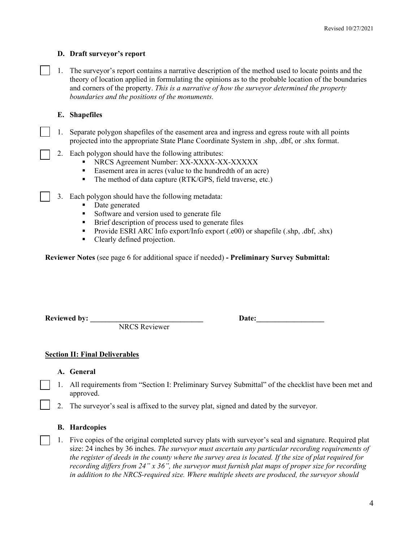## **D. Draft surveyor's report**

1. The surveyor's report contains a narrative description of the method used to locate points and the theory of location applied in formulating the opinions as to the probable location of the boundaries and corners of the property. *This is a narrative of how the surveyor determined the property boundaries and the positions of the monuments.*

## **E. Shapefiles**

- 1. Separate polygon shapefiles of the easement area and ingress and egress route with all points projected into the appropriate State Plane Coordinate System in .shp, .dbf, or .shx format.
- 2. Each polygon should have the following attributes:
	- NRCS Agreement Number: XX-XXXX-XX-XXXXX
	- Easement area in acres (value to the hundredth of an acre)
	- The method of data capture (RTK/GPS, field traverse, etc.)
- 3. Each polygon should have the following metadata:
	- Date generated
	- Software and version used to generate file
	- **Brief description of process used to generate files**
	- Provide ESRI ARC Info export/Info export  $(e00)$  or shapefile  $(.$ shp, .dbf, .shx)
	- Clearly defined projection.

**Reviewer Notes** (see page 6 for additional space if needed) **- Preliminary Survey Submittal:**

Reviewed by: **Date:** 

NRCS Reviewer

#### **Section II: Final Deliverables**

#### **A. General**

- 1. All requirements from "Section I: Preliminary Survey Submittal" of the checklist have been met and approved.
- 2. The surveyor's seal is affixed to the survey plat, signed and dated by the surveyor.

# **B. Hardcopies**

1. Five copies of the original completed survey plats with surveyor's seal and signature. Required plat size: 24 inches by 36 inches. *The surveyor must ascertain any particular recording requirements of the register of deeds in the county where the survey area is located. If the size of plat required for recording differs from 24" x 36", the surveyor must furnish plat maps of proper size for recording in addition to the NRCS-required size. Where multiple sheets are produced, the surveyor should*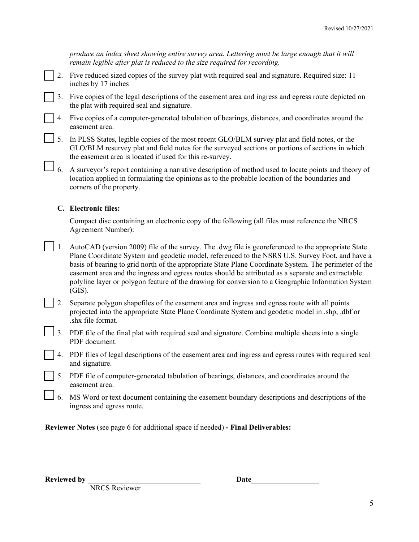| produce an index sheet showing entire survey area. Lettering must be large enough that it will<br>remain legible after plat is reduced to the size required for recording.                           |
|------------------------------------------------------------------------------------------------------------------------------------------------------------------------------------------------------|
| 2. Five reduced sized copies of the survey plat with required seal and signature. Required size: 11<br>inches by 17 inches                                                                           |
| 3. Five copies of the legal descriptions of the easement area and ingress and egress route depicted on<br>the plat with required seal and signature.                                                 |
| 4. Five copies of a computer-generated tabulation of bearings, distances, and coordinates around the<br>easement area.                                                                               |
| 5. In PLSS States, legible copies of the most recent GLO/BLM survey plat and field notes, or the<br>GLO/BLM resurvey plat and field notes for the surveyed sections or portions of sections in which |

6. A surveyor's report containing a narrative description of method used to locate points and theory of location applied in formulating the opinions as to the probable location of the boundaries and corners of the property.

the easement area is located if used for this re-survey.

# **C. Electronic files:**

Compact disc containing an electronic copy of the following (all files must reference the NRCS Agreement Number):

- 1. AutoCAD (version 2009) file of the survey. The .dwg file is georeferenced to the appropriate State Plane Coordinate System and geodetic model, referenced to the NSRS U.S. Survey Foot, and have a basis of bearing to grid north of the appropriate State Plane Coordinate System. The perimeter of the easement area and the ingress and egress routes should be attributed as a separate and extractable polyline layer or polygon feature of the drawing for conversion to a Geographic Information System (GIS).
- 2. Separate polygon shapefiles of the easement area and ingress and egress route with all points projected into the appropriate State Plane Coordinate System and geodetic model in .shp, .dbf or .shx file format.
- 3. PDF file of the final plat with required seal and signature. Combine multiple sheets into a single PDF document.
- 4. PDF files of legal descriptions of the easement area and ingress and egress routes with required seal and signature.
- 5. PDF file of computer-generated tabulation of bearings, distances, and coordinates around the easement area.
- 6. MS Word or text document containing the easement boundary descriptions and descriptions of the ingress and egress route.

**Reviewer Notes** (see page 6 for additional space if needed) **- Final Deliverables:** 

NRCS Reviewer

**Reviewed by \_\_\_\_\_\_\_\_\_\_\_\_\_\_\_\_\_\_\_\_\_\_\_\_\_\_\_\_\_\_ Date\_\_\_\_\_\_\_\_\_\_\_\_\_\_\_\_\_\_**